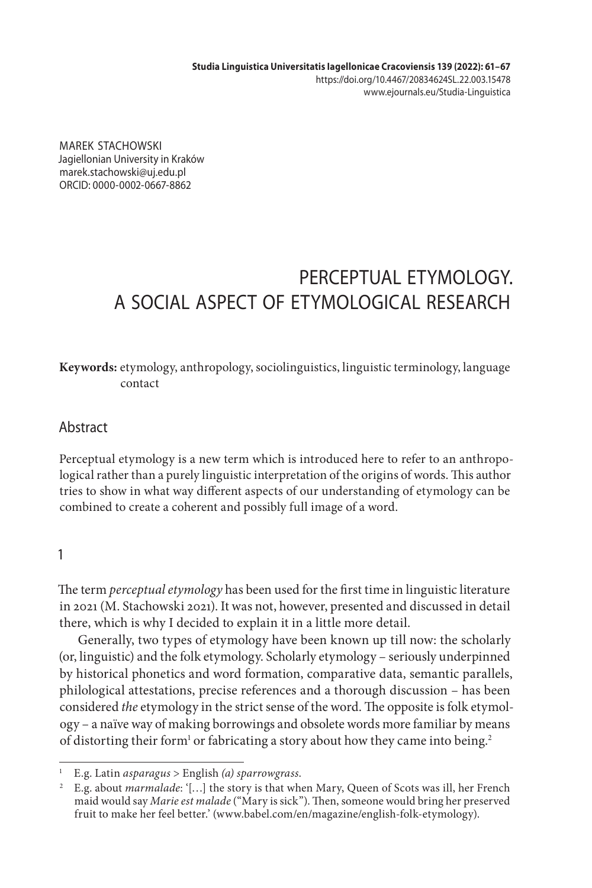**Studia Linguistica Universitatis Iagellonicae Cracoviensis 139 (2022): 61–67** <https://doi.org/10.4467/20834624SL.22.003.15478> www.ejournals.eu/Studia-Linguistica

MAREK STACHOWSKI Jagiellonian University in Kraków marek.stachowski@uj.edu.pl ORCID: 0000-0002-0667-8862

# PERCEPTUAL ETYMOLOGY. A SOCIAL ASPECT OF ETYMOLOGICAL RESEARCH

**Keywords:** etymology, anthropology, sociolinguistics, linguistic terminology, language contact

## **Abstract**

Perceptual etymology is a new term which is introduced here to refer to an anthropological rather than a purely linguistic interpretation of the origins of words. This author tries to show in what way different aspects of our understanding of etymology can be combined to create a coherent and possibly full image of a word.

## 1

The term *perceptual etymology* has been used for the first time in linguistic literature in 2021 (M. Stachowski 2021). It was not, however, presented and discussed in detail there, which is why I decided to explain it in a little more detail.

Generally, two types of etymology have been known up till now: the scholarly (or, linguistic) and the folk etymology. Scholarly etymology – seriously underpinned by historical phonetics and word formation, comparative data, semantic parallels, philological attestations, precise references and a thorough discussion – has been considered *the* etymology in the strict sense of the word. The opposite is folk etymology – a naïve way of making borrowings and obsolete words more familiar by means of distorting their form<sup>1</sup> or fabricating a story about how they came into being.<sup>2</sup>

<sup>1</sup> E.g. Latin *asparagus* > English *(a) sparrowgrass*.

<sup>&</sup>lt;sup>2</sup> E.g. about *marmalade*: '[...] the story is that when Mary, Queen of Scots was ill, her French maid would say *Marie est malade* ("Mary is sick"). Then, someone would bring her preserved fruit to make her feel better.' (www.babel.com/en/magazine/english-folk-etymology).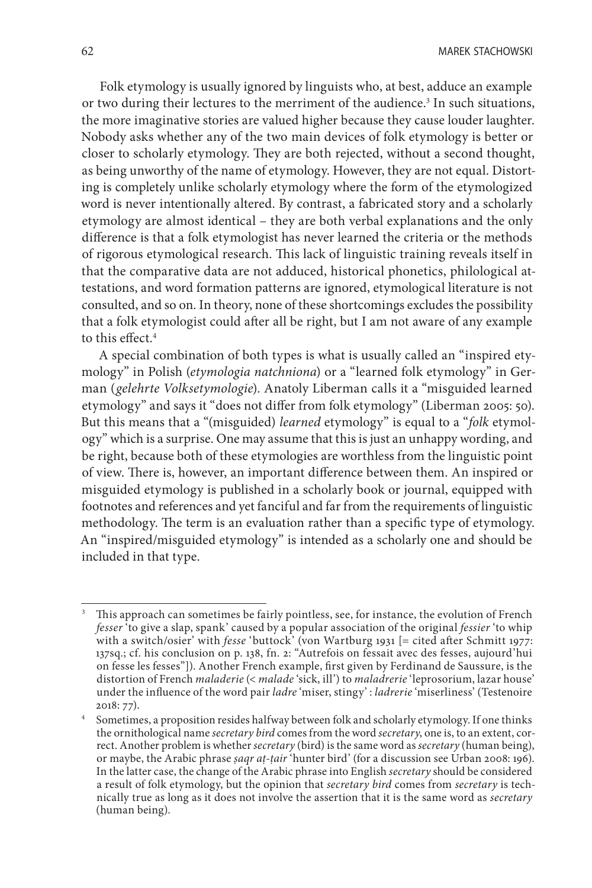Folk etymology is usually ignored by linguists who, at best, adduce an example or two during their lectures to the merriment of the audience.<sup>3</sup> In such situations, the more imaginative stories are valued higher because they cause louder laughter. Nobody asks whether any of the two main devices of folk etymology is better or closer to scholarly etymology. They are both rejected, without a second thought, as being unworthy of the name of etymology. However, they are not equal. Distorting is completely unlike scholarly etymology where the form of the etymologized word is never intentionally altered. By contrast, a fabricated story and a scholarly etymology are almost identical – they are both verbal explanations and the only difference is that a folk etymologist has never learned the criteria or the methods of rigorous etymological research. This lack of linguistic training reveals itself in that the comparative data are not adduced, historical phonetics, philological attestations, and word formation patterns are ignored, etymological literature is not consulted, and so on. In theory, none of these shortcomings excludes the possibility that a folk etymologist could after all be right, but I am not aware of any example to this effect.4

A special combination of both types is what is usually called an "inspired etymology" in Polish (*etymologia natchniona*) or a "learned folk etymology" in German (*gelehrte Volksetymologie*). Anatoly Liberman calls it a "misguided learned etymology" and says it "does not differ from folk etymology" (Liberman 2005: 50). But this means that a "(misguided) *learned* etymology" is equal to a "*folk* etymology" which is a surprise. One may assume that this is just an unhappy wording, and be right, because both of these etymologies are worthless from the linguistic point of view. There is, however, an important difference between them. An inspired or misguided etymology is published in a scholarly book or journal, equipped with footnotes and references and yet fanciful and far from the requirements of linguistic methodology. The term is an evaluation rather than a specific type of etymology. An "inspired/misguided etymology" is intended as a scholarly one and should be included in that type.

This approach can sometimes be fairly pointless, see, for instance, the evolution of French *fesser* 'to give a slap, spank' caused by a popular association of the original *fessier* 'to whip with a switch/osier' with *fesse* 'buttock' (von Wartburg 1931 [= cited after Schmitt 1977: 137sq.; cf. his conclusion on p. 138, fn. 2: "Autrefois on fessait avec des fesses, aujourd'hui on fesse les fesses"]). Another French example, first given by Ferdinand de Saussure, is the distortion of French *maladerie* (< *malade* 'sick, ill') to *maladrerie* 'leprosorium, lazar house' under the influence of the word pair *ladre* 'miser, stingy' : *ladrerie* 'miserliness' (Testenoire 2018: 77).

Sometimes, a proposition resides halfway between folk and scholarly etymology. If one thinks the ornithological name *secretary bird* comes from the word *secretary*, one is, to an extent, correct. Another problem is whether *secretary* (bird) is the same word as *secretary* (human being), or maybe, the Arabic phrase *ṣaqr aṭ-ṭair* 'hunter bird' (for a discussion see Urban 2008: 196). In the latter case, the change of the Arabic phrase into English *secretary* should be considered a result of folk etymology, but the opinion that *secretary bird* comes from *secretary* is technically true as long as it does not involve the assertion that it is the same word as *secretary* (human being).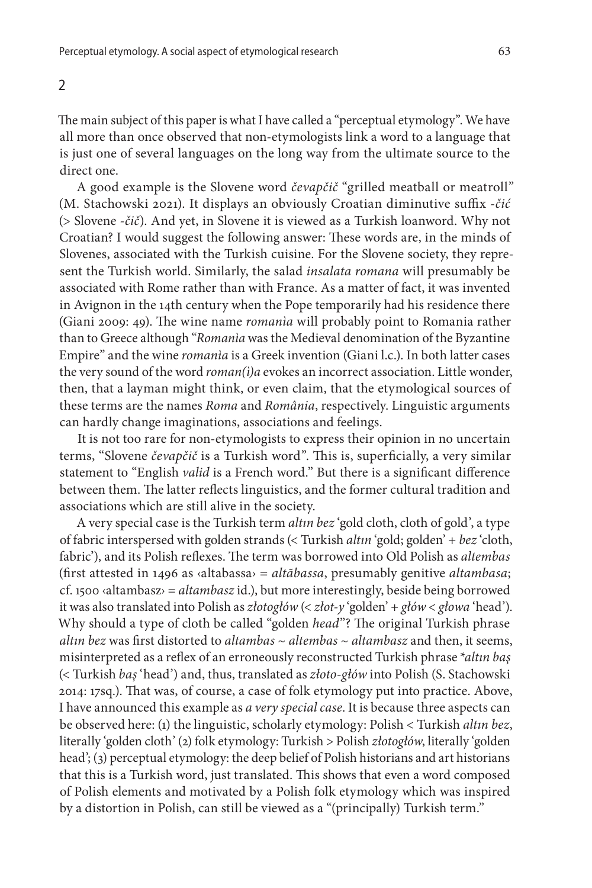2

The main subject of this paper is what I have called a "perceptual etymology". We have all more than once observed that non-etymologists link a word to a language that is just one of several languages on the long way from the ultimate source to the direct one.

A good example is the Slovene word *čevapčič* "grilled meatball or meatroll" (M. Stachowski 2021). It displays an obviously Croatian diminutive suffix *-čić*  (> Slovene *-čič*). And yet, in Slovene it is viewed as a Turkish loanword. Why not Croatian? I would suggest the following answer: These words are, in the minds of Slovenes, associated with the Turkish cuisine. For the Slovene society, they represent the Turkish world. Similarly, the salad *insalata romana* will presumably be associated with Rome rather than with France. As a matter of fact, it was invented in Avignon in the 14th century when the Pope temporarily had his residence there (Giani 2009: 49). The wine name *romanìa* will probably point to Romania rather than to Greece although "*Romanìa* was the Medieval denomination of the Byzantine Empire" and the wine *romanìa* is a Greek invention (Giani l.c.). In both latter cases the very sound of the word *roman(ì)a* evokes an incorrect association. Little wonder, then, that a layman might think, or even claim, that the etymological sources of these terms are the names *Roma* and *România*, respectively. Linguistic arguments can hardly change imaginations, associations and feelings.

It is not too rare for non-etymologists to express their opinion in no uncertain terms, "Slovene *čevapčič* is a Turkish word". This is, superficially, a very similar statement to "English *valid* is a French word." But there is a significant difference between them. The latter reflects linguistics, and the former cultural tradition and associations which are still alive in the society.

A very special case is the Turkish term *altın bez* 'gold cloth, cloth of gold', a type of fabric interspersed with golden strands (< Turkish *altın* 'gold; golden' + *bez* 'cloth, fabric'), and its Polish reflexes. The term was borrowed into Old Polish as *altembas* (first attested in 1496 as ‹altabassa› = *altãbassa*, presumably genitive *altambasa*; cf. 1500 ‹altambasz› = *altambasz* id.), but more interestingly, beside being borrowed it was also translated into Polish as *złotogłów* (< *złot-y* 'golden' + *głów* < *głowa* 'head'). Why should a type of cloth be called "golden *head*"? The original Turkish phrase *altın bez* was first distorted to *altambas* ~ *altembas* ~ *altambasz* and then, it seems, misinterpreted as a reflex of an erroneously reconstructed Turkish phrase \**altın baş* (< Turkish *baş* 'head') and, thus, translated as *złoto-głów* into Polish (S. Stachowski 2014: 17sq.). That was, of course, a case of folk etymology put into practice. Above, I have announced this example as *a very special case*. It is because three aspects can be observed here: (1) the linguistic, scholarly etymology: Polish < Turkish *altın bez*, literally 'golden cloth' (2) folk etymology: Turkish > Polish *złotogłów*, literally 'golden head'; (3) perceptual etymology: the deep belief of Polish historians and art historians that this is a Turkish word, just translated. This shows that even a word composed of Polish elements and motivated by a Polish folk etymology which was inspired by a distortion in Polish, can still be viewed as a "(principally) Turkish term."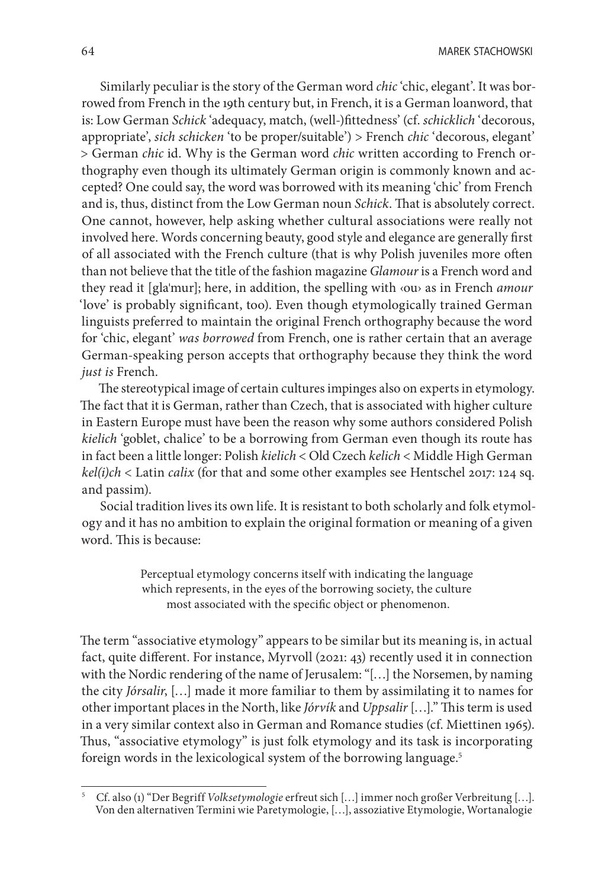64 MAREK STACHOWSKI

Similarly peculiar is the story of the German word *chic* 'chic, elegant'. It was borrowed from French in the 19th century but, in French, it is a German loanword, that is: Low German *Schick* 'adequacy, match, (well-)fittedness' (cf. *schicklich* 'decorous, appropriate', *sich schicken* 'to be proper/suitable') > French *chic* 'decorous, elegant' > German *chic* id. Why is the German word *chic* written according to French orthography even though its ultimately German origin is commonly known and accepted? One could say, the word was borrowed with its meaning 'chic' from French and is, thus, distinct from the Low German noun *Schick*. That is absolutely correct. One cannot, however, help asking whether cultural associations were really not involved here. Words concerning beauty, good style and elegance are generally first of all associated with the French culture (that is why Polish juveniles more often than not believe that the title of the fashion magazine *Glamour* is a French word and they read it [glaˈmur]; here, in addition, the spelling with ‹ou› as in French *amour* 'love' is probably significant, too). Even though etymologically trained German linguists preferred to maintain the original French orthography because the word for 'chic, elegant' *was borrowed* from French, one is rather certain that an average German-speaking person accepts that orthography because they think the word *just is* French.

The stereotypical image of certain cultures impinges also on experts in etymology. The fact that it is German, rather than Czech, that is associated with higher culture in Eastern Europe must have been the reason why some authors considered Polish *kielich* 'goblet, chalice' to be a borrowing from German even though its route has in fact been a little longer: Polish *kielich* < Old Czech *kelich* < Middle High German *kel(i)ch* < Latin *calix* (for that and some other examples see Hentschel 2017: 124 sq. and passim).

Social tradition lives its own life. It is resistant to both scholarly and folk etymology and it has no ambition to explain the original formation or meaning of a given word. This is because:

> Perceptual etymology concerns itself with indicating the language which represents, in the eyes of the borrowing society, the culture most associated with the specific object or phenomenon.

The term "associative etymology" appears to be similar but its meaning is, in actual fact, quite different. For instance, Myrvoll (2021: 43) recently used it in connection with the Nordic rendering of the name of Jerusalem: "[…] the Norsemen, by naming the city *Jórsalir*, […] made it more familiar to them by assimilating it to names for other important places in the North, like *Jórvík* and *Uppsalir* […]." This term is used in a very similar context also in German and Romance studies (cf. Miettinen 1965). Thus, "associative etymology" is just folk etymology and its task is incorporating foreign words in the lexicological system of the borrowing language.<sup>5</sup>

<sup>5</sup> Cf. also (1) "Der Begriff *Volksetymologie* erfreut sich […] immer noch großer Verbreitung […]. Von den alternativen Termini wie Paretymologie, […], assoziative Etymologie, Wortanalogie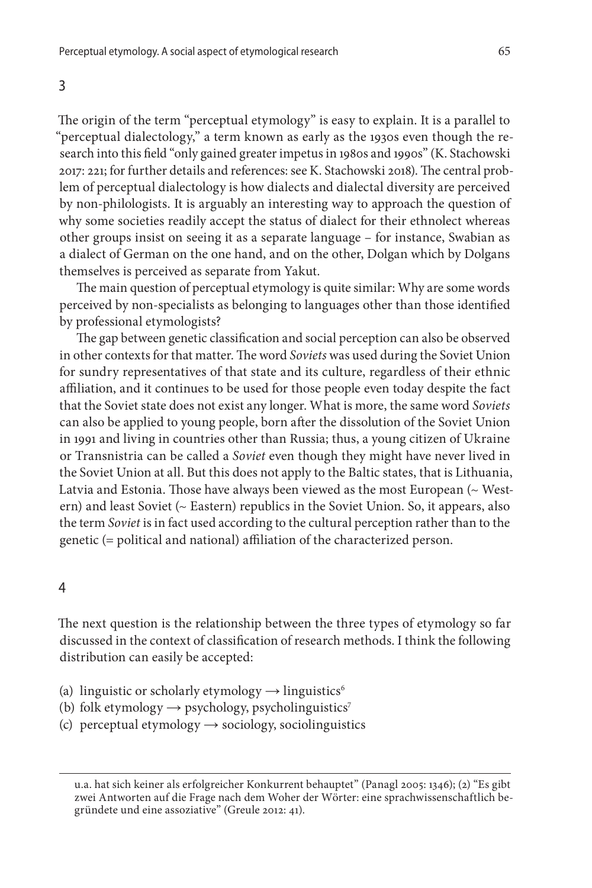The origin of the term "perceptual etymology" is easy to explain. It is a parallel to "perceptual dialectology," a term known as early as the 1930s even though the research into this field "only gained greater impetus in 1980s and 1990s" (K. Stachowski 2017: 221; for further details and references: see K. Stachowski 2018). The central problem of perceptual dialectology is how dialects and dialectal diversity are perceived by non-philologists. It is arguably an interesting way to approach the question of why some societies readily accept the status of dialect for their ethnolect whereas other groups insist on seeing it as a separate language – for instance, Swabian as a dialect of German on the one hand, and on the other, Dolgan which by Dolgans themselves is perceived as separate from Yakut.

The main question of perceptual etymology is quite similar: Why are some words perceived by non-specialists as belonging to languages other than those identified by professional etymologists?

The gap between genetic classification and social perception can also be observed in other contexts for that matter. The word *Soviets* was used during the Soviet Union for sundry representatives of that state and its culture, regardless of their ethnic affiliation, and it continues to be used for those people even today despite the fact that the Soviet state does not exist any longer. What is more, the same word *Soviets* can also be applied to young people, born after the dissolution of the Soviet Union in 1991 and living in countries other than Russia; thus, a young citizen of Ukraine or Transnistria can be called a *Soviet* even though they might have never lived in the Soviet Union at all. But this does not apply to the Baltic states, that is Lithuania, Latvia and Estonia. Those have always been viewed as the most European (~ Western) and least Soviet (~ Eastern) republics in the Soviet Union. So, it appears, also the term *Soviet* is in fact used according to the cultural perception rather than to the genetic (= political and national) affiliation of the characterized person.

#### 4

The next question is the relationship between the three types of etymology so far discussed in the context of classification of research methods. I think the following distribution can easily be accepted:

- (a) linguistic or scholarly etymology  $\rightarrow$  linguistics<sup>6</sup>
- (b) folk etymology  $\rightarrow$  psychology, psycholinguistics<sup>7</sup>
- (c) perceptual etymology  $\rightarrow$  sociology, sociolinguistics

3

u.a. hat sich keiner als erfolgreicher Konkurrent behauptet" (Panagl 2005: 1346); (2) "Es gibt zwei Antworten auf die Frage nach dem Woher der Wörter: eine sprachwissenschaftlich begründete und eine assoziative" (Greule 2012: 41).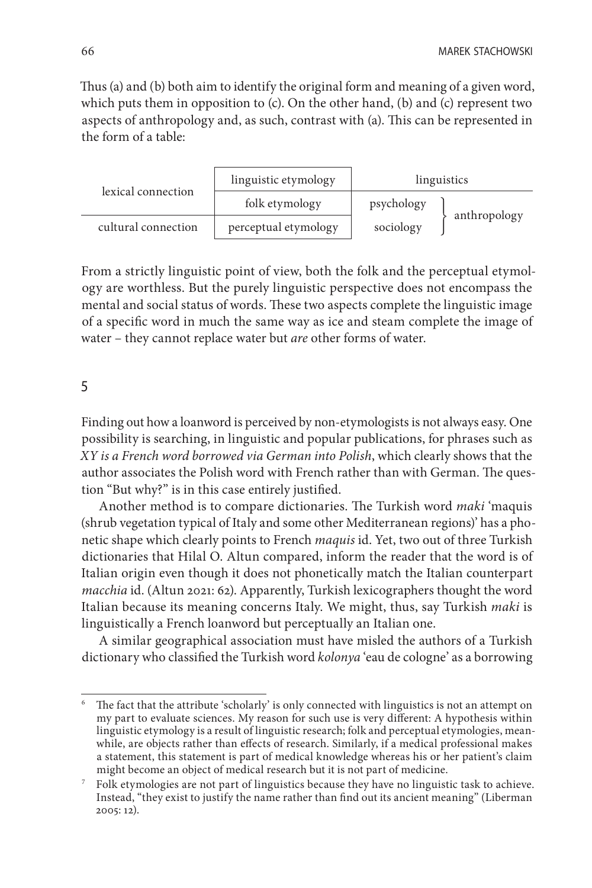Thus (a) and (b) both aim to identify the original form and meaning of a given word, which puts them in opposition to (c). On the other hand, (b) and (c) represent two aspects of anthropology and, as such, contrast with (a). This can be represented in the form of a table:

| lexical connection  | linguistic etymology | linguistics               |
|---------------------|----------------------|---------------------------|
|                     | folk etymology       | psychology                |
| cultural connection | perceptual etymology | anthropology<br>sociology |

From a strictly linguistic point of view, both the folk and the perceptual etymology are worthless. But the purely linguistic perspective does not encompass the mental and social status of words. These two aspects complete the linguistic image of a specific word in much the same way as ice and steam complete the image of water – they cannot replace water but *are* other forms of water.

### 5

Finding out how a loanword is perceived by non-etymologists is not always easy. One possibility is searching, in linguistic and popular publications, for phrases such as *XY is a French word borrowed via German into Polish*, which clearly shows that the author associates the Polish word with French rather than with German. The question "But why?" is in this case entirely justified.

Another method is to compare dictionaries. The Turkish word *maki* 'maquis (shrub vegetation typical of Italy and some other Mediterranean regions)' has a phonetic shape which clearly points to French *maquis* id. Yet, two out of three Turkish dictionaries that Hilal O. Altun compared, inform the reader that the word is of Italian origin even though it does not phonetically match the Italian counterpart *macchia* id. (Altun 2021: 62). Apparently, Turkish lexicographers thought the word Italian because its meaning concerns Italy. We might, thus, say Turkish *maki* is linguistically a French loanword but perceptually an Italian one.

A similar geographical association must have misled the authors of a Turkish dictionary who classified the Turkish word *kolonya* 'eau de cologne' as a borrowing

<sup>&</sup>lt;sup>6</sup> The fact that the attribute 'scholarly' is only connected with linguistics is not an attempt on my part to evaluate sciences. My reason for such use is very different: A hypothesis within linguistic etymology is a result of linguistic research; folk and perceptual etymologies, meanwhile, are objects rather than effects of research. Similarly, if a medical professional makes a statement, this statement is part of medical knowledge whereas his or her patient's claim might become an object of medical research but it is not part of medicine.

<sup>7</sup> Folk etymologies are not part of linguistics because they have no linguistic task to achieve. Instead, "they exist to justify the name rather than find out its ancient meaning" (Liberman 2005: 12).